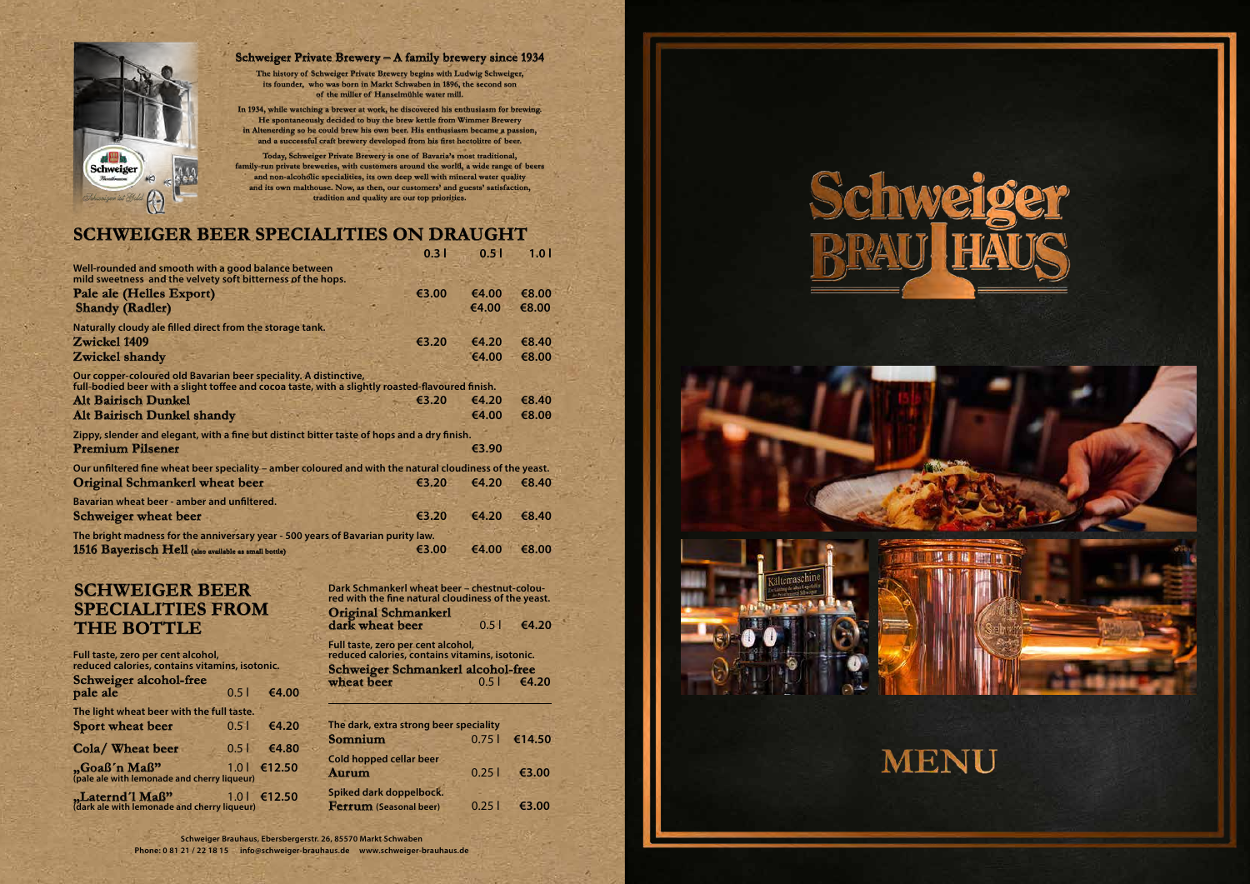| Full taste, zero per cent alcohol,<br>reduced calories, contains vitamins, isotonic. |      |                   |
|--------------------------------------------------------------------------------------|------|-------------------|
| <b>Schweiger alcohol-free</b><br>pale ale                                            |      | $0.51$ $64.00$    |
| The light wheat beer with the full taste.                                            |      |                   |
| <b>Sport wheat beer</b>                                                              | 0.51 | $\epsilon$ 4.20   |
| Cola/Wheat beer                                                                      |      | $0.51$ $\in$ 4.80 |
| "Goaß'n Maß"<br>(pale ale with lemonade and cherry liqueur)                          |      | 1.0  €12.50       |
| "Laternd'l Maß"<br>(dark ale with lemonade and cherry liqueur)                       |      | $1.0$   €12.50    |

| Dark Schmankerl wheat beer - chestnut-colou-       |       |       |
|----------------------------------------------------|-------|-------|
| red with the fine natural cloudiness of the yeast. |       |       |
| <b>Original Schmankerl</b>                         |       |       |
| dark wheat beer                                    | $0.5$ | ∈4.20 |

| Full taste, zero per cent alcohol,<br>reduced calories, contains vitamins, isotonic. |                  |
|--------------------------------------------------------------------------------------|------------------|
| <b>Schweiger Schmankerl alcohol-free</b>                                             |                  |
| wheat beer                                                                           | $0.5$ $\in$ 4.20 |

**Schweiger Brauhaus, Ebersbergerstr. 26, 85570 Markt Schwaben**

**Phone: 0 81 21 / 22 18 15 info@schweiger-brauhaus.de www.schweiger-brauhaus.de** 

| The dark, extra strong beer speciality                   |       |        |
|----------------------------------------------------------|-------|--------|
| <b>Somnium</b>                                           | 0.751 | €14.50 |
| Cold hopped cellar beer<br><b>Aurum</b>                  | 0.251 | €3.00  |
| Spiked dark doppelbock.<br><b>Ferrum</b> (Seasonal beer) | 0.251 | €3.00  |







|                                                                                                                                                                      | 0.31  | 0.5 <sub>1</sub> | 1.01  |
|----------------------------------------------------------------------------------------------------------------------------------------------------------------------|-------|------------------|-------|
| Well-rounded and smooth with a good balance between<br>mild sweetness and the velvety soft bitterness of the hops.                                                   |       |                  |       |
| Pale ale (Helles Export)                                                                                                                                             | €3.00 | €4.00            | €8.00 |
| <b>Shandy (Radler)</b>                                                                                                                                               |       | €4.00            | €8.00 |
| Naturally cloudy ale filled direct from the storage tank.                                                                                                            |       |                  |       |
| Zwickel 1409                                                                                                                                                         | €3.20 | €4.20            | €8.40 |
| Zwickel shandy                                                                                                                                                       |       | €4.00            | €8.00 |
| Our copper-coloured old Bavarian beer speciality. A distinctive,<br>full-bodied beer with a slight toffee and cocoa taste, with a slightly roasted-flavoured finish. |       |                  |       |
| <b>Alt Bairisch Dunkel</b>                                                                                                                                           | €3.20 | €4.20            | €8.40 |
| <b>Alt Bairisch Dunkel shandy</b>                                                                                                                                    |       | €4.00            | €8.00 |
| Zippy, slender and elegant, with a fine but distinct bitter taste of hops and a dry finish.                                                                          |       |                  |       |
| <b>Premium Pilsener</b>                                                                                                                                              |       | €3.90            |       |
| Our unfiltered fine wheat beer speciality - amber coloured and with the natural cloudiness of the yeast.                                                             |       |                  |       |
| <b>Original Schmankerl wheat beer</b>                                                                                                                                | €3.20 | €4.20            | €8.40 |
| Bavarian wheat beer - amber and unfiltered.                                                                                                                          |       |                  |       |
| <b>Schweiger wheat beer</b>                                                                                                                                          | €3.20 | €4.20            | €8.40 |
| The bright madness for the anniversary year - 500 years of Bavarian purity law.                                                                                      |       |                  |       |
| 1516 Bayerisch Hell (also available as small bottle)                                                                                                                 | €3.00 | €4.00            | €8.00 |

### **SCHWEIGER BEER SPECIALITIES ON DRAUGHT**

# **SCHWEIGER BEER SPECIALITIES FROM THE BOTTLE**



### **Schweiger Private Brewery – A family brewery since 1934**

**The history of Schweiger Private Brewery begins with Ludwig Schweiger, its founder, who was born in Markt Schwaben in 1896, the second son of the miller of Hanselmühle water mill.** 

**In 1934, while watching a brewer at work, he discovered his enthusiasm for brewing. He spontaneously decided to buy the brew kettle from Wimmer Brewery in Altenerding so he could brew his own beer. His enthusiasm became a passion, and a successful craft brewery developed from his first hectolitre of beer.** 

**Today, Schweiger Private Brewery is one of Bavaria's most traditional, family-run private breweries, with customers around the world, a wide range of beers and non-alcoholic specialities, its own deep well with mineral water quality and its own malthouse. Now, as then, our customers' and guests' satisfaction, tradition and quality are our top priorities.**